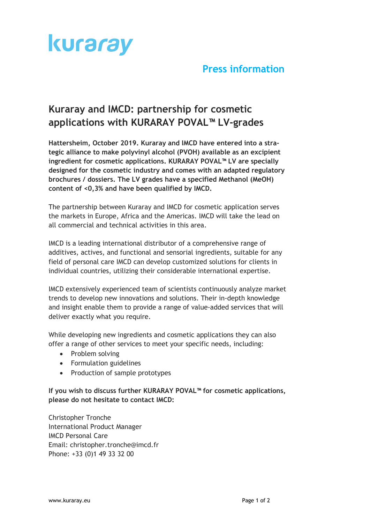

## **Press information**

# **Kuraray and IMCD: partnership for cosmetic applications with KURARAY POVAL™ LV-grades**

**Hattersheim, October 2019. Kuraray and IMCD have entered into a strategic alliance to make polyvinyl alcohol (PVOH) available as an excipient ingredient for cosmetic applications. KURARAY POVAL™ LV are specially designed for the cosmetic industry and comes with an adapted regulatory brochures / dossiers. The LV grades have a specified Methanol (MeOH) content of <0,3% and have been qualified by IMCD.**

The partnership between Kuraray and IMCD for cosmetic application serves the markets in Europe, Africa and the Americas. IMCD will take the lead on all commercial and technical activities in this area.

IMCD is a leading international distributor of a comprehensive range of additives, actives, and functional and sensorial ingredients, suitable for any field of personal care IMCD can develop customized solutions for clients in individual countries, utilizing their considerable international expertise.

IMCD extensively experienced team of scientists continuously analyze market trends to develop new innovations and solutions. Their in-depth knowledge and insight enable them to provide a range of value-added services that will deliver exactly what you require.

While developing new ingredients and cosmetic applications they can also offer a range of other services to meet your specific needs, including:

- Problem solving
- Formulation guidelines
- Production of sample prototypes

**If you wish to discuss further KURARAY POVAL™ for cosmetic applications, please do not hesitate to contact IMCD:**

Christopher Tronche International Product Manager IMCD Personal Care Email: christopher.tronche@imcd.fr Phone: +33 (0)1 49 33 32 00